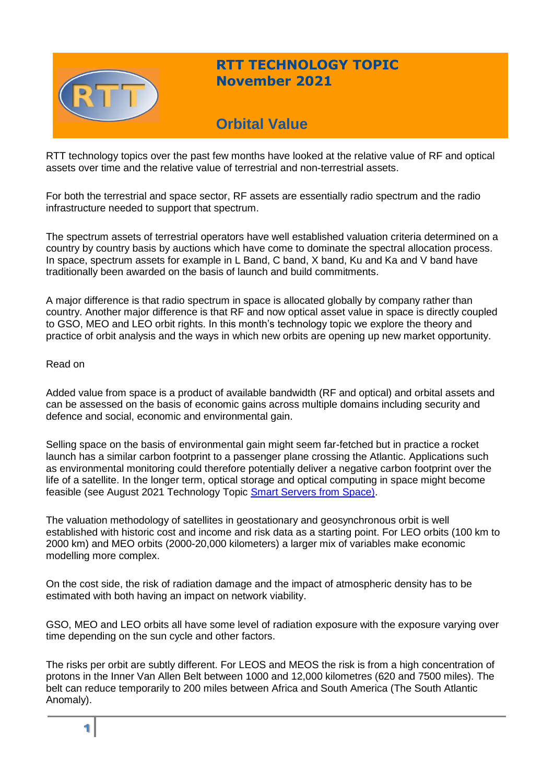

# **RTT TECHNOLOGY TOPIC November 2021**

# **Orbital Value**

RTT technology topics over the past few months have looked at the relative value of RF and optical assets over time and the relative value of terrestrial and non-terrestrial assets.

For both the terrestrial and space sector, RF assets are essentially radio spectrum and the radio infrastructure needed to support that spectrum.

The spectrum assets of terrestrial operators have well established valuation criteria determined on a country by country basis by auctions which have come to dominate the spectral allocation process. In space, spectrum assets for example in L Band, C band, X band, Ku and Ka and V band have traditionally been awarded on the basis of launch and build commitments.

A major difference is that radio spectrum in space is allocated globally by company rather than country. Another major difference is that RF and now optical asset value in space is directly coupled to GSO, MEO and LEO orbit rights. In this month's technology topic we explore the theory and practice of orbit analysis and the ways in which new orbits are opening up new market opportunity.

### Read on

Added value from space is a product of available bandwidth (RF and optical) and orbital assets and can be assessed on the basis of economic gains across multiple domains including security and defence and social, economic and environmental gain.

Selling space on the basis of environmental gain might seem far-fetched but in practice a rocket launch has a similar carbon footprint to a passenger plane crossing the Atlantic. Applications such as environmental monitoring could therefore potentially deliver a negative carbon footprint over the life of a satellite. In the longer term, optical storage and optical computing in space might become feasible (see August 2021 Technology Topic **Smart Servers from Space**).

The valuation methodology of satellites in geostationary and geosynchronous orbit is well established with historic cost and income and risk data as a starting point. For LEO orbits (100 km to 2000 km) and MEO orbits (2000-20,000 kilometers) a larger mix of variables make economic modelling more complex.

On the cost side, the risk of radiation damage and the impact of atmospheric density has to be estimated with both having an impact on network viability.

GSO, MEO and LEO orbits all have some level of radiation exposure with the exposure varying over time depending on the sun cycle and other factors.

The risks per orbit are subtly different. For LEOS and MEOS the risk is from a high concentration of protons in the Inner Van Allen Belt between 1000 and 12,000 kilometres (620 and 7500 miles). The belt can reduce temporarily to 200 miles between Africa and South America (The South Atlantic Anomaly).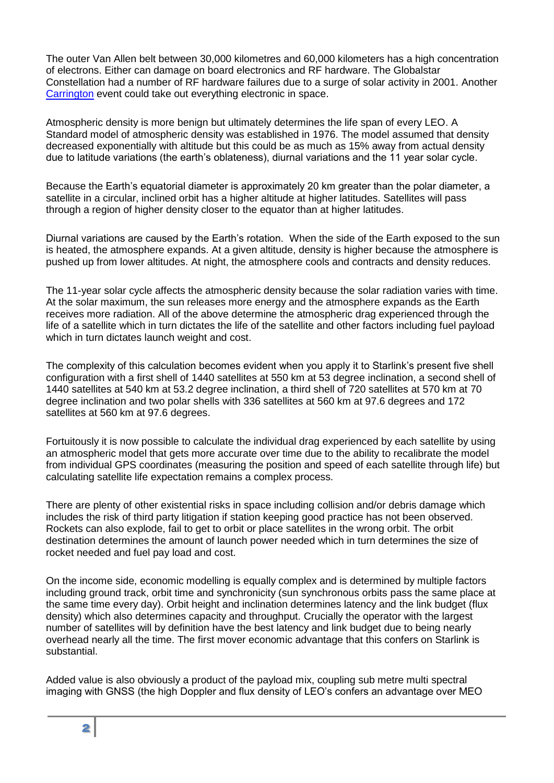The outer Van Allen belt between 30,000 kilometres and 60,000 kilometers has a high concentration of electrons. Either can damage on board electronics and RF hardware. The Globalstar Constellation had a number of RF hardware failures due to a surge of solar activity in 2001. Another [Carrington](http://cmeresearchinstitute.org/carrington-event/) event could take out everything electronic in space.

Atmospheric density is more benign but ultimately determines the life span of every LEO. A Standard model of atmospheric density was established in 1976. The model assumed that density decreased exponentially with altitude but this could be as much as 15% away from actual density due to latitude variations (the earth's oblateness), diurnal variations and the 11 year solar cycle.

Because the Earth's equatorial diameter is approximately 20 km greater than the polar diameter, a satellite in a circular, inclined orbit has a higher altitude at higher latitudes. Satellites will pass through a region of higher density closer to the equator than at higher latitudes.

Diurnal variations are caused by the Earth's rotation. When the side of the Earth exposed to the sun is heated, the atmosphere expands. At a given altitude, density is higher because the atmosphere is pushed up from lower altitudes. At night, the atmosphere cools and contracts and density reduces.

The 11-year solar cycle affects the atmospheric density because the solar radiation varies with time. At the solar maximum, the sun releases more energy and the atmosphere expands as the Earth receives more radiation. All of the above determine the atmospheric drag experienced through the life of a satellite which in turn dictates the life of the satellite and other factors including fuel payload which in turn dictates launch weight and cost.

The complexity of this calculation becomes evident when you apply it to Starlink's present five shell configuration with a first shell of 1440 satellites at 550 km at 53 degree inclination, a second shell of 1440 satellites at 540 km at 53.2 degree inclination, a third shell of 720 satellites at 570 km at 70 degree inclination and two polar shells with 336 satellites at 560 km at 97.6 degrees and 172 satellites at 560 km at 97.6 degrees.

Fortuitously it is now possible to calculate the individual drag experienced by each satellite by using an atmospheric model that gets more accurate over time due to the ability to recalibrate the model from individual GPS coordinates (measuring the position and speed of each satellite through life) but calculating satellite life expectation remains a complex process.

There are plenty of other existential risks in space including collision and/or debris damage which includes the risk of third party litigation if station keeping good practice has not been observed. Rockets can also explode, fail to get to orbit or place satellites in the wrong orbit. The orbit destination determines the amount of launch power needed which in turn determines the size of rocket needed and fuel pay load and cost.

On the income side, economic modelling is equally complex and is determined by multiple factors including ground track, orbit time and synchronicity (sun synchronous orbits pass the same place at the same time every day). Orbit height and inclination determines latency and the link budget (flux density) which also determines capacity and throughput. Crucially the operator with the largest number of satellites will by definition have the best latency and link budget due to being nearly overhead nearly all the time. The first mover economic advantage that this confers on Starlink is substantial.

Added value is also obviously a product of the payload mix, coupling sub metre multi spectral imaging with GNSS (the high Doppler and flux density of LEO's confers an advantage over MEO